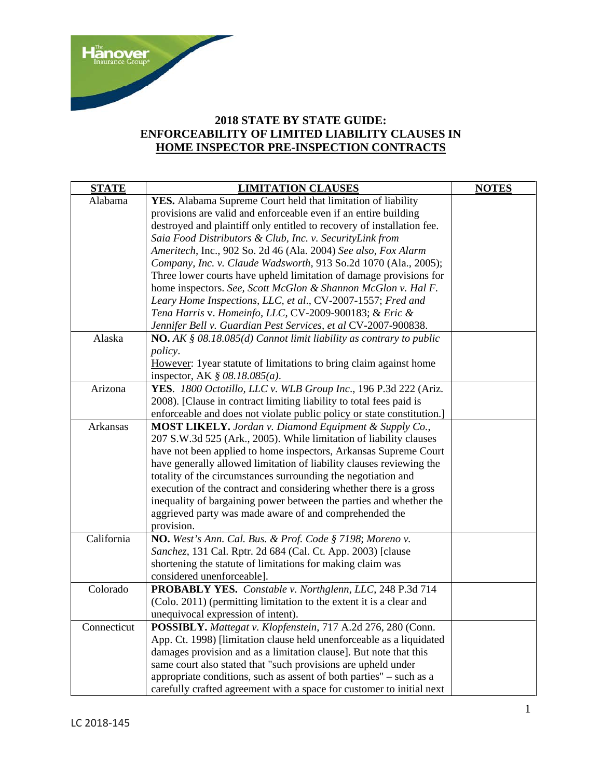

## **2018 STATE BY STATE GUIDE: ENFORCEABILITY OF LIMITED LIABILITY CLAUSES IN HOME INSPECTOR PRE-INSPECTION CONTRACTS**

| <b>STATE</b> | <b>LIMITATION CLAUSES</b>                                                    | <b>NOTES</b> |
|--------------|------------------------------------------------------------------------------|--------------|
| Alabama      | YES. Alabama Supreme Court held that limitation of liability                 |              |
|              | provisions are valid and enforceable even if an entire building              |              |
|              | destroyed and plaintiff only entitled to recovery of installation fee.       |              |
|              | Saia Food Distributors & Club, Inc. v. SecurityLink from                     |              |
|              | Ameritech, Inc., 902 So. 2d 46 (Ala. 2004) See also, Fox Alarm               |              |
|              | Company, Inc. v. Claude Wadsworth, 913 So.2d 1070 (Ala., 2005);              |              |
|              | Three lower courts have upheld limitation of damage provisions for           |              |
|              | home inspectors. See, Scott McGlon & Shannon McGlon v. Hal F.                |              |
|              | Leary Home Inspections, LLC, et al., CV-2007-1557; Fred and                  |              |
|              | Tena Harris v. Homeinfo, LLC, CV-2009-900183; & Eric &                       |              |
|              | Jennifer Bell v. Guardian Pest Services, et al CV-2007-900838.               |              |
| Alaska       | <b>NO.</b> AK $\S$ 08.18.085(d) Cannot limit liability as contrary to public |              |
|              | policy.                                                                      |              |
|              | However: 1 year statute of limitations to bring claim against home           |              |
|              | inspector, AK $\S$ 08.18.085( <i>a</i> ).                                    |              |
| Arizona      | YES. 1800 Octotillo, LLC v. WLB Group Inc., 196 P.3d 222 (Ariz.              |              |
|              | 2008). [Clause in contract limiting liability to total fees paid is          |              |
|              | enforceable and does not violate public policy or state constitution.]       |              |
| Arkansas     | <b>MOST LIKELY.</b> Jordan v. Diamond Equipment & Supply Co.,                |              |
|              | 207 S.W.3d 525 (Ark., 2005). While limitation of liability clauses           |              |
|              | have not been applied to home inspectors, Arkansas Supreme Court             |              |
|              | have generally allowed limitation of liability clauses reviewing the         |              |
|              | totality of the circumstances surrounding the negotiation and                |              |
|              | execution of the contract and considering whether there is a gross           |              |
|              | inequality of bargaining power between the parties and whether the           |              |
|              | aggrieved party was made aware of and comprehended the                       |              |
|              | provision.                                                                   |              |
| California   | NO. West's Ann. Cal. Bus. & Prof. Code § 7198; Moreno v.                     |              |
|              | Sanchez, 131 Cal. Rptr. 2d 684 (Cal. Ct. App. 2003) [clause                  |              |
|              | shortening the statute of limitations for making claim was                   |              |
|              | considered unenforceable].                                                   |              |
| Colorado     | PROBABLY YES. Constable v. Northglenn, LLC, 248 P.3d 714                     |              |
|              | (Colo. 2011) (permitting limitation to the extent it is a clear and          |              |
|              | unequivocal expression of intent).                                           |              |
| Connecticut  | POSSIBLY. Mattegat v. Klopfenstein, 717 A.2d 276, 280 (Conn.                 |              |
|              | App. Ct. 1998) [limitation clause held unenforceable as a liquidated         |              |
|              | damages provision and as a limitation clause]. But note that this            |              |
|              | same court also stated that "such provisions are upheld under                |              |
|              | appropriate conditions, such as assent of both parties" – such as a          |              |
|              | carefully crafted agreement with a space for customer to initial next        |              |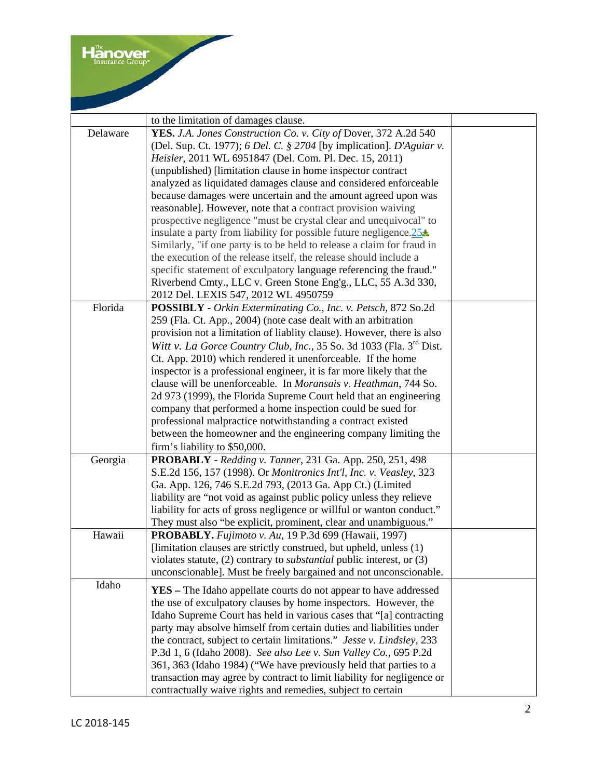|          | to the limitation of damages clause.                                             |  |
|----------|----------------------------------------------------------------------------------|--|
| Delaware | YES. J.A. Jones Construction Co. v. City of Dover, 372 A.2d 540                  |  |
|          | (Del. Sup. Ct. 1977); 6 Del. C. § 2704 [by implication]. D'Aguiar v.             |  |
|          | Heisler, 2011 WL 6951847 (Del. Com. Pl. Dec. 15, 2011)                           |  |
|          | (unpublished) [limitation clause in home inspector contract                      |  |
|          | analyzed as liquidated damages clause and considered enforceable                 |  |
|          | because damages were uncertain and the amount agreed upon was                    |  |
|          | reasonable]. However, note that a contract provision waiving                     |  |
|          | prospective negligence "must be crystal clear and unequivocal" to                |  |
|          | insulate a party from liability for possible future negligence. $25\pm$          |  |
|          | Similarly, "if one party is to be held to release a claim for fraud in           |  |
|          | the execution of the release itself, the release should include a                |  |
|          | specific statement of exculpatory language referencing the fraud."               |  |
|          | Riverbend Cmty., LLC v. Green Stone Eng'g., LLC, 55 A.3d 330,                    |  |
|          | 2012 Del. LEXIS 547, 2012 WL 4950759                                             |  |
| Florida  | POSSIBLY - Orkin Exterminating Co., Inc. v. Petsch, 872 So.2d                    |  |
|          | 259 (Fla. Ct. App., 2004) (note case dealt with an arbitration                   |  |
|          | provision not a limitation of liablity clause). However, there is also           |  |
|          | Witt v. La Gorce Country Club, Inc., 35 So. 3d 1033 (Fla. $3^{rd}$ Dist.         |  |
|          | Ct. App. 2010) which rendered it unenforceable. If the home                      |  |
|          | inspector is a professional engineer, it is far more likely that the             |  |
|          | clause will be unenforceable. In Moransais v. Heathman, 744 So.                  |  |
|          | 2d 973 (1999), the Florida Supreme Court held that an engineering                |  |
|          | company that performed a home inspection could be sued for                       |  |
|          | professional malpractice notwithstanding a contract existed                      |  |
|          | between the homeowner and the engineering company limiting the                   |  |
|          |                                                                                  |  |
|          | firm's liability to \$50,000.                                                    |  |
| Georgia  | PROBABLY - Redding v. Tanner, 231 Ga. App. 250, 251, 498                         |  |
|          | S.E.2d 156, 157 (1998). Or Monitronics Int'l, Inc. v. Veasley, 323               |  |
|          | Ga. App. 126, 746 S.E.2d 793, (2013 Ga. App Ct.) (Limited                        |  |
|          | liability are "not void as against public policy unless they relieve             |  |
|          | liability for acts of gross negligence or willful or wanton conduct."            |  |
|          | They must also "be explicit, prominent, clear and unambiguous."                  |  |
| Hawaii   | PROBABLY. Fujimoto v. Au, 19 P.3d 699 (Hawaii, 1997)                             |  |
|          | [limitation clauses are strictly construed, but upheld, unless (1)               |  |
|          | violates statute, $(2)$ contrary to <i>substantial</i> public interest, or $(3)$ |  |
|          | unconscionable]. Must be freely bargained and not unconscionable.                |  |
| Idaho    | <b>YES</b> – The Idaho appellate courts do not appear to have addressed          |  |
|          | the use of exculpatory clauses by home inspectors. However, the                  |  |
|          | Idaho Supreme Court has held in various cases that "[a] contracting              |  |
|          | party may absolve himself from certain duties and liabilities under              |  |
|          | the contract, subject to certain limitations." Jesse v. Lindsley, 233            |  |
|          | P.3d 1, 6 (Idaho 2008). See also Lee v. Sun Valley Co., 695 P.2d                 |  |
|          | 361, 363 (Idaho 1984) ("We have previously held that parties to a                |  |
|          | transaction may agree by contract to limit liability for negligence or           |  |
|          | contractually waive rights and remedies, subject to certain                      |  |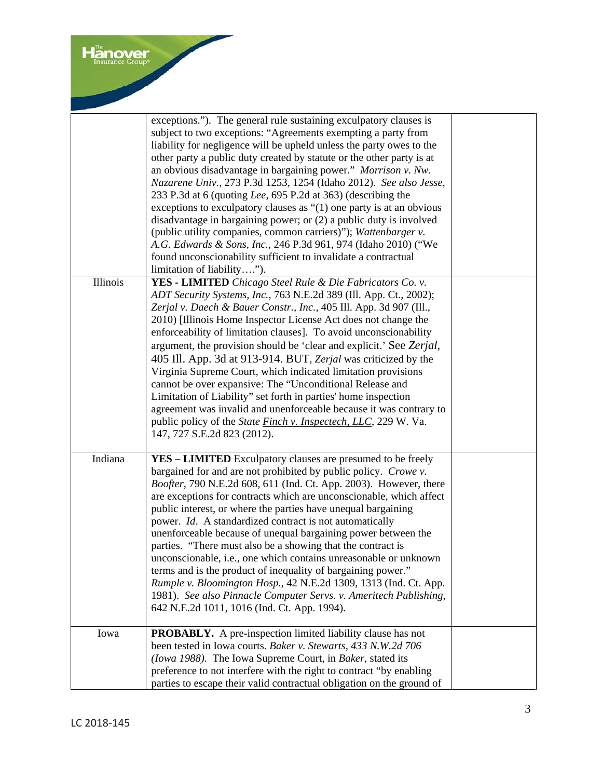|          | exceptions."). The general rule sustaining exculpatory clauses is            |  |
|----------|------------------------------------------------------------------------------|--|
|          | subject to two exceptions: "Agreements exempting a party from                |  |
|          | liability for negligence will be upheld unless the party owes to the         |  |
|          | other party a public duty created by statute or the other party is at        |  |
|          | an obvious disadvantage in bargaining power." Morrison v. Nw.                |  |
|          | Nazarene Univ., 273 P.3d 1253, 1254 (Idaho 2012). See also Jesse,            |  |
|          | 233 P.3d at 6 (quoting Lee, 695 P.2d at 363) (describing the                 |  |
|          | exceptions to exculpatory clauses as $\degree(1)$ one party is at an obvious |  |
|          | disadvantage in bargaining power; or (2) a public duty is involved           |  |
|          | (public utility companies, common carriers)"); Wattenbarger v.               |  |
|          | A.G. Edwards & Sons, Inc., 246 P.3d 961, 974 (Idaho 2010) ("We               |  |
|          | found unconscionability sufficient to invalidate a contractual               |  |
|          | limitation of liability").                                                   |  |
| Illinois | YES - LIMITED Chicago Steel Rule & Die Fabricators Co. v.                    |  |
|          | ADT Security Systems, Inc., 763 N.E.2d 389 (Ill. App. Ct., 2002);            |  |
|          | Zerjal v. Daech & Bauer Constr., Inc., 405 Ill. App. 3d 907 (Ill.,           |  |
|          | 2010) [Illinois Home Inspector License Act does not change the               |  |
|          | enforceability of limitation clauses]. To avoid unconscionability            |  |
|          |                                                                              |  |
|          | argument, the provision should be 'clear and explicit.' See Zerjal,          |  |
|          | 405 Ill. App. 3d at 913-914. BUT, Zerjal was criticized by the               |  |
|          | Virginia Supreme Court, which indicated limitation provisions                |  |
|          | cannot be over expansive: The "Unconditional Release and                     |  |
|          | Limitation of Liability" set forth in parties' home inspection               |  |
|          | agreement was invalid and unenforceable because it was contrary to           |  |
|          | public policy of the State Finch v. Inspectech, LLC, 229 W. Va.              |  |
|          | 147, 727 S.E.2d 823 (2012).                                                  |  |
| Indiana  | <b>YES – LIMITED</b> Exculpatory clauses are presumed to be freely           |  |
|          | bargained for and are not prohibited by public policy. Crowe v.              |  |
|          | Boofter, 790 N.E.2d 608, 611 (Ind. Ct. App. 2003). However, there            |  |
|          | are exceptions for contracts which are unconscionable, which affect          |  |
|          | public interest, or where the parties have unequal bargaining                |  |
|          | power. Id. A standardized contract is not automatically                      |  |
|          | unenforceable because of unequal bargaining power between the                |  |
|          | parties. "There must also be a showing that the contract is                  |  |
|          | unconscionable, i.e., one which contains unreasonable or unknown             |  |
|          | terms and is the product of inequality of bargaining power."                 |  |
|          | Rumple v. Bloomington Hosp., 42 N.E.2d 1309, 1313 (Ind. Ct. App.             |  |
|          | 1981). See also Pinnacle Computer Servs. v. Ameritech Publishing,            |  |
|          | 642 N.E.2d 1011, 1016 (Ind. Ct. App. 1994).                                  |  |
|          |                                                                              |  |
| Iowa     | <b>PROBABLY.</b> A pre-inspection limited liability clause has not           |  |
|          | been tested in Iowa courts. Baker v. Stewarts, 433 N.W.2d 706                |  |
|          | (Iowa 1988). The Iowa Supreme Court, in Baker, stated its                    |  |
|          | preference to not interfere with the right to contract "by enabling          |  |
|          | parties to escape their valid contractual obligation on the ground of        |  |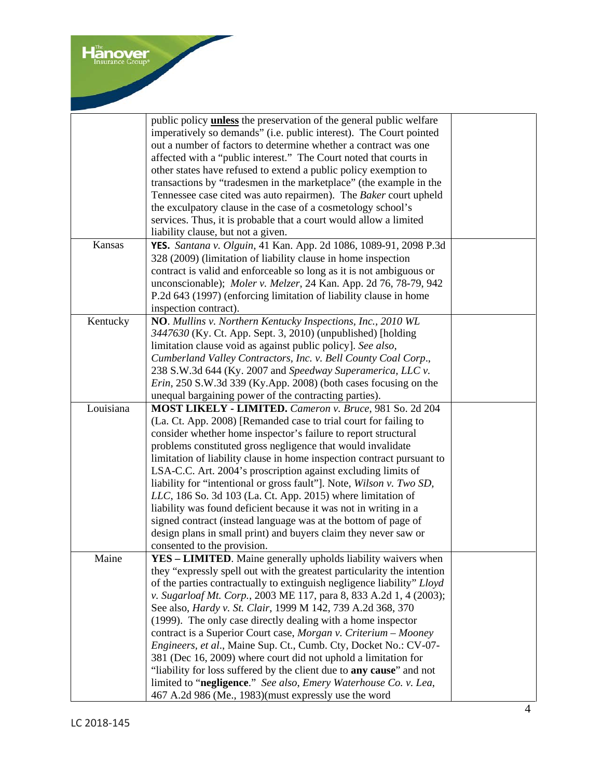|           | public policy <b>unless</b> the preservation of the general public welfare |  |
|-----------|----------------------------------------------------------------------------|--|
|           | imperatively so demands" (i.e. public interest). The Court pointed         |  |
|           | out a number of factors to determine whether a contract was one            |  |
|           | affected with a "public interest." The Court noted that courts in          |  |
|           | other states have refused to extend a public policy exemption to           |  |
|           | transactions by "tradesmen in the marketplace" (the example in the         |  |
|           | Tennessee case cited was auto repairmen). The Baker court upheld           |  |
|           | the exculpatory clause in the case of a cosmetology school's               |  |
|           | services. Thus, it is probable that a court would allow a limited          |  |
|           | liability clause, but not a given.                                         |  |
| Kansas    | YES. Santana v. Olguin, 41 Kan. App. 2d 1086, 1089-91, 2098 P.3d           |  |
|           | 328 (2009) (limitation of liability clause in home inspection              |  |
|           | contract is valid and enforceable so long as it is not ambiguous or        |  |
|           | unconscionable); Moler v. Melzer, 24 Kan. App. 2d 76, 78-79, 942           |  |
|           | P.2d 643 (1997) (enforcing limitation of liability clause in home          |  |
|           | inspection contract).                                                      |  |
| Kentucky  | NO. Mullins v. Northern Kentucky Inspections, Inc., 2010 WL                |  |
|           | 3447630 (Ky. Ct. App. Sept. 3, 2010) (unpublished) [holding                |  |
|           | limitation clause void as against public policy]. See also,                |  |
|           | Cumberland Valley Contractors, Inc. v. Bell County Coal Corp.,             |  |
|           |                                                                            |  |
|           | 238 S.W.3d 644 (Ky. 2007 and Speedway Superamerica, LLC v.                 |  |
|           | $Erin$ , 250 S.W.3d 339 (Ky.App. 2008) (both cases focusing on the         |  |
|           | unequal bargaining power of the contracting parties).                      |  |
| Louisiana | MOST LIKELY - LIMITED. Cameron v. Bruce, 981 So. 2d 204                    |  |
|           | (La. Ct. App. 2008) [Remanded case to trial court for failing to           |  |
|           | consider whether home inspector's failure to report structural             |  |
|           | problems constituted gross negligence that would invalidate                |  |
|           | limitation of liability clause in home inspection contract pursuant to     |  |
|           | LSA-C.C. Art. 2004's proscription against excluding limits of              |  |
|           | liability for "intentional or gross fault"]. Note, Wilson v. Two SD,       |  |
|           | LLC, 186 So. 3d 103 (La. Ct. App. 2015) where limitation of                |  |
|           | liability was found deficient because it was not in writing in a           |  |
|           | signed contract (instead language was at the bottom of page of             |  |
|           | design plans in small print) and buyers claim they never saw or            |  |
|           | consented to the provision.                                                |  |
| Maine     | <b>YES – LIMITED.</b> Maine generally upholds liability waivers when       |  |
|           | they "expressly spell out with the greatest particularity the intention    |  |
|           | of the parties contractually to extinguish negligence liability" Lloyd     |  |
|           | v. Sugarloaf Mt. Corp., 2003 ME 117, para 8, 833 A.2d 1, 4 (2003);         |  |
|           | See also, <i>Hardy v. St. Clair</i> , 1999 M 142, 739 A.2d 368, 370        |  |
|           | (1999). The only case directly dealing with a home inspector               |  |
|           | contract is a Superior Court case, Morgan v. Criterium - Mooney            |  |
|           | Engineers, et al., Maine Sup. Ct., Cumb. Cty, Docket No.: CV-07-           |  |
|           | 381 (Dec 16, 2009) where court did not uphold a limitation for             |  |
|           | "liability for loss suffered by the client due to any cause" and not       |  |
|           | limited to "negligence." See also, Emery Waterhouse Co. v. Lea,            |  |
|           | 467 A.2d 986 (Me., 1983)(must expressly use the word                       |  |
|           |                                                                            |  |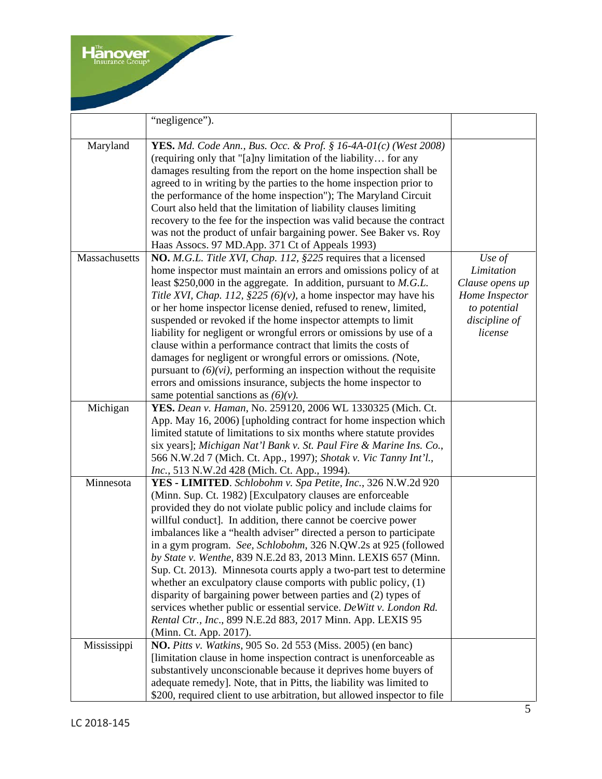|               | "negligence").                                                                                                                                                                                                                                                                                                                                                                                                                                                                                                                                                                                                                                                                                                                                                                                                                                        |                                                                                                       |
|---------------|-------------------------------------------------------------------------------------------------------------------------------------------------------------------------------------------------------------------------------------------------------------------------------------------------------------------------------------------------------------------------------------------------------------------------------------------------------------------------------------------------------------------------------------------------------------------------------------------------------------------------------------------------------------------------------------------------------------------------------------------------------------------------------------------------------------------------------------------------------|-------------------------------------------------------------------------------------------------------|
| Maryland      | <b>YES.</b> Md. Code Ann., Bus. Occ. & Prof. § 16-4A-01(c) (West 2008)<br>(requiring only that "[a]ny limitation of the liability for any<br>damages resulting from the report on the home inspection shall be<br>agreed to in writing by the parties to the home inspection prior to<br>the performance of the home inspection"); The Maryland Circuit<br>Court also held that the limitation of liability clauses limiting<br>recovery to the fee for the inspection was valid because the contract<br>was not the product of unfair bargaining power. See Baker vs. Roy<br>Haas Assocs. 97 MD.App. 371 Ct of Appeals 1993)                                                                                                                                                                                                                         |                                                                                                       |
| Massachusetts | NO. M.G.L. Title XVI, Chap. 112, §225 requires that a licensed<br>home inspector must maintain an errors and omissions policy of at<br>least \$250,000 in the aggregate. In addition, pursuant to $M.G.L.$<br>Title XVI, Chap. 112, §225 (6)(v), a home inspector may have his<br>or her home inspector license denied, refused to renew, limited,<br>suspended or revoked if the home inspector attempts to limit<br>liability for negligent or wrongful errors or omissions by use of a<br>clause within a performance contract that limits the costs of<br>damages for negligent or wrongful errors or omissions. (Note,<br>pursuant to $(6)(vi)$ , performing an inspection without the requisite<br>errors and omissions insurance, subjects the home inspector to<br>same potential sanctions as $(6)(v)$ .                                     | Use of<br>Limitation<br>Clause opens up<br>Home Inspector<br>to potential<br>discipline of<br>license |
| Michigan      | YES. Dean v. Haman, No. 259120, 2006 WL 1330325 (Mich. Ct.<br>App. May 16, 2006) [upholding contract for home inspection which<br>limited statute of limitations to six months where statute provides<br>six years]; Michigan Nat'l Bank v. St. Paul Fire & Marine Ins. Co.,<br>566 N.W.2d 7 (Mich. Ct. App., 1997); Shotak v. Vic Tanny Int'l.,<br>Inc., 513 N.W.2d 428 (Mich. Ct. App., 1994).                                                                                                                                                                                                                                                                                                                                                                                                                                                      |                                                                                                       |
| Minnesota     | YES - LIMITED. Schlobohm v. Spa Petite, Inc., 326 N.W.2d 920<br>(Minn. Sup. Ct. 1982) [Exculpatory clauses are enforceable<br>provided they do not violate public policy and include claims for<br>willful conduct]. In addition, there cannot be coercive power<br>imbalances like a "health adviser" directed a person to participate<br>in a gym program. See, Schlobohm, 326 N.QW.2s at 925 (followed<br>by State v. Wenthe, 839 N.E.2d 83, 2013 Minn. LEXIS 657 (Minn.<br>Sup. Ct. 2013). Minnesota courts apply a two-part test to determine<br>whether an exculpatory clause comports with public policy, (1)<br>disparity of bargaining power between parties and (2) types of<br>services whether public or essential service. DeWitt v. London Rd.<br>Rental Ctr., Inc., 899 N.E.2d 883, 2017 Minn. App. LEXIS 95<br>(Minn. Ct. App. 2017). |                                                                                                       |
| Mississippi   | <b>NO.</b> Pitts v. Watkins, 905 So. 2d 553 (Miss. 2005) (en banc)<br>[limitation clause in home inspection contract is unenforceable as<br>substantively unconscionable because it deprives home buyers of<br>adequate remedy]. Note, that in Pitts, the liability was limited to<br>\$200, required client to use arbitration, but allowed inspector to file                                                                                                                                                                                                                                                                                                                                                                                                                                                                                        |                                                                                                       |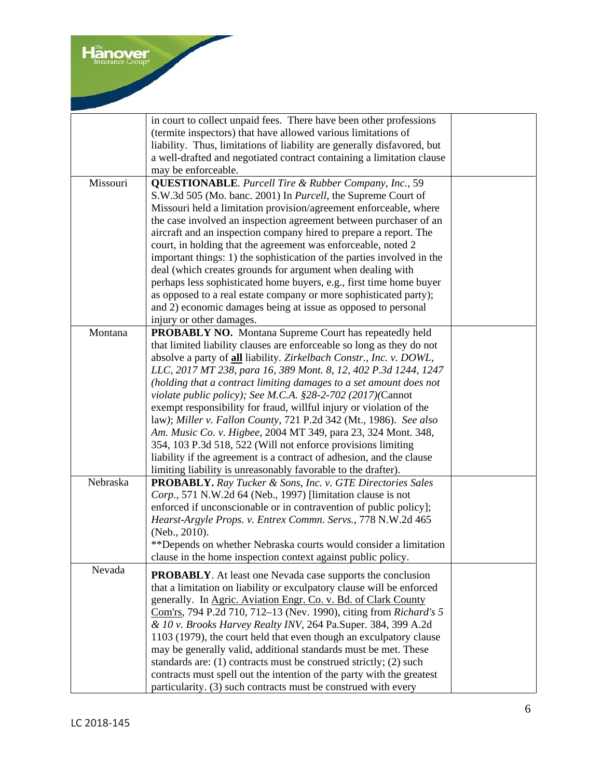|          | in court to collect unpaid fees. There have been other professions<br>(termite inspectors) that have allowed various limitations of<br>liability. Thus, limitations of liability are generally disfavored, but<br>a well-drafted and negotiated contract containing a limitation clause<br>may be enforceable.                                                                                                                                                                                                                                                                                                                                                                                                                                                                                                                               |  |
|----------|----------------------------------------------------------------------------------------------------------------------------------------------------------------------------------------------------------------------------------------------------------------------------------------------------------------------------------------------------------------------------------------------------------------------------------------------------------------------------------------------------------------------------------------------------------------------------------------------------------------------------------------------------------------------------------------------------------------------------------------------------------------------------------------------------------------------------------------------|--|
| Missouri | <b>QUESTIONABLE.</b> Purcell Tire & Rubber Company, Inc., 59<br>S.W.3d 505 (Mo. banc. 2001) In Purcell, the Supreme Court of<br>Missouri held a limitation provision/agreement enforceable, where<br>the case involved an inspection agreement between purchaser of an<br>aircraft and an inspection company hired to prepare a report. The<br>court, in holding that the agreement was enforceable, noted 2<br>important things: 1) the sophistication of the parties involved in the<br>deal (which creates grounds for argument when dealing with<br>perhaps less sophisticated home buyers, e.g., first time home buyer<br>as opposed to a real estate company or more sophisticated party);<br>and 2) economic damages being at issue as opposed to personal<br>injury or other damages.                                                |  |
| Montana  | <b>PROBABLY NO.</b> Montana Supreme Court has repeatedly held<br>that limited liability clauses are enforceable so long as they do not<br>absolve a party of all liability. Zirkelbach Constr., Inc. v. DOWL,<br>LLC, 2017 MT 238, para 16, 389 Mont. 8, 12, 402 P.3d 1244, 1247<br>(holding that a contract limiting damages to a set amount does not<br>violate public policy); See M.C.A. $$28-2-702$ (2017)(Cannot<br>exempt responsibility for fraud, willful injury or violation of the<br>law); Miller v. Fallon County, 721 P.2d 342 (Mt., 1986). See also<br>Am. Music Co. v. Higbee, 2004 MT 349, para 23, 324 Mont. 348,<br>354, 103 P.3d 518, 522 (Will not enforce provisions limiting<br>liability if the agreement is a contract of adhesion, and the clause<br>limiting liability is unreasonably favorable to the drafter). |  |
| Nebraska | <b>PROBABLY.</b> Ray Tucker & Sons, Inc. v. GTE Directories Sales<br>Corp., 571 N.W.2d 64 (Neb., 1997) [limitation clause is not<br>enforced if unconscionable or in contravention of public policy];<br>Hearst-Argyle Props. v. Entrex Commn. Servs., 778 N.W.2d 465<br>(Neb., 2010).<br>**Depends on whether Nebraska courts would consider a limitation<br>clause in the home inspection context against public policy.                                                                                                                                                                                                                                                                                                                                                                                                                   |  |
| Nevada   | <b>PROBABLY.</b> At least one Nevada case supports the conclusion<br>that a limitation on liability or exculpatory clause will be enforced<br>generally. In Agric. Aviation Engr. Co. v. Bd. of Clark County<br>Com'rs, 794 P.2d 710, 712–13 (Nev. 1990), citing from Richard's 5<br>& 10 v. Brooks Harvey Realty INV, 264 Pa.Super. 384, 399 A.2d<br>1103 (1979), the court held that even though an exculpatory clause<br>may be generally valid, additional standards must be met. These<br>standards are: (1) contracts must be construed strictly; (2) such<br>contracts must spell out the intention of the party with the greatest<br>particularity. (3) such contracts must be construed with every                                                                                                                                  |  |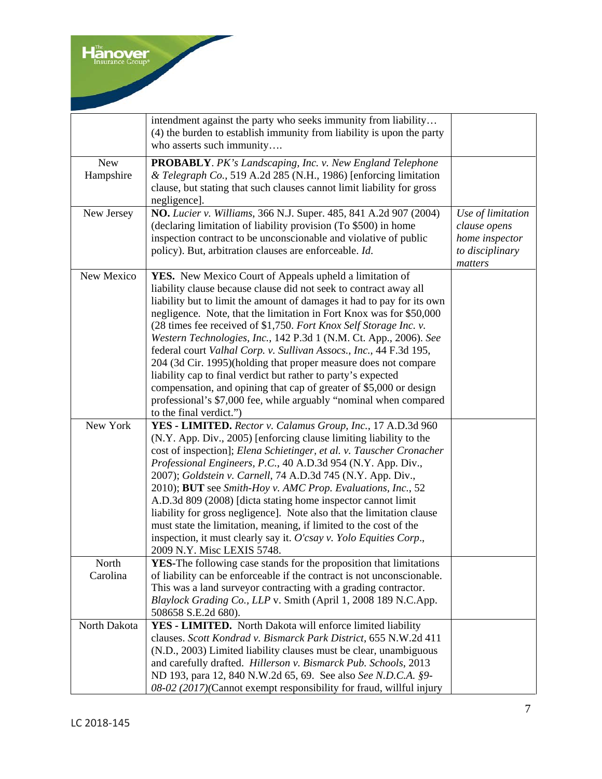|                             | intendment against the party who seeks immunity from liability<br>(4) the burden to establish immunity from liability is upon the party<br>who asserts such immunity                                                                                                                                                                                                                                                                                                                                                                                                                                                                                                                                                                                                                                    |                                                                                   |
|-----------------------------|---------------------------------------------------------------------------------------------------------------------------------------------------------------------------------------------------------------------------------------------------------------------------------------------------------------------------------------------------------------------------------------------------------------------------------------------------------------------------------------------------------------------------------------------------------------------------------------------------------------------------------------------------------------------------------------------------------------------------------------------------------------------------------------------------------|-----------------------------------------------------------------------------------|
| ${\hbox{New}}$<br>Hampshire | <b>PROBABLY.</b> PK's Landscaping, Inc. v. New England Telephone<br>& Telegraph Co., 519 A.2d 285 (N.H., 1986) [enforcing limitation<br>clause, but stating that such clauses cannot limit liability for gross<br>negligence].                                                                                                                                                                                                                                                                                                                                                                                                                                                                                                                                                                          |                                                                                   |
| New Jersey                  | NO. Lucier v. Williams, 366 N.J. Super. 485, 841 A.2d 907 (2004)<br>(declaring limitation of liability provision (To \$500) in home<br>inspection contract to be unconscionable and violative of public<br>policy). But, arbitration clauses are enforceable. Id.                                                                                                                                                                                                                                                                                                                                                                                                                                                                                                                                       | Use of limitation<br>clause opens<br>home inspector<br>to disciplinary<br>matters |
| New Mexico                  | YES. New Mexico Court of Appeals upheld a limitation of<br>liability clause because clause did not seek to contract away all<br>liability but to limit the amount of damages it had to pay for its own<br>negligence. Note, that the limitation in Fort Knox was for \$50,000<br>(28 times fee received of \$1,750. Fort Knox Self Storage Inc. v.<br>Western Technologies, Inc., 142 P.3d 1 (N.M. Ct. App., 2006). See<br>federal court Valhal Corp. v. Sullivan Assocs., Inc., 44 F.3d 195,<br>204 (3d Cir. 1995)(holding that proper measure does not compare<br>liability cap to final verdict but rather to party's expected<br>compensation, and opining that cap of greater of \$5,000 or design<br>professional's \$7,000 fee, while arguably "nominal when compared<br>to the final verdict.") |                                                                                   |
| New York                    | YES - LIMITED. Rector v. Calamus Group, Inc., 17 A.D.3d 960<br>(N.Y. App. Div., 2005) [enforcing clause limiting liability to the<br>cost of inspection]; Elena Schietinger, et al. v. Tauscher Cronacher<br>Professional Engineers, P.C., 40 A.D.3d 954 (N.Y. App. Div.,<br>2007); Goldstein v. Carnell, 74 A.D.3d 745 (N.Y. App. Div.,<br>2010); BUT see Smith-Hoy v. AMC Prop. Evaluations, Inc., 52<br>A.D.3d 809 (2008) [dicta stating home inspector cannot limit<br>liability for gross negligence]. Note also that the limitation clause<br>must state the limitation, meaning, if limited to the cost of the<br>inspection, it must clearly say it. O'csay v. Yolo Equities Corp.,<br>2009 N.Y. Misc LEXIS 5748.                                                                               |                                                                                   |
| North<br>Carolina           | YES-The following case stands for the proposition that limitations<br>of liability can be enforceable if the contract is not unconscionable.<br>This was a land surveyor contracting with a grading contractor.<br>Blaylock Grading Co., LLP v. Smith (April 1, 2008 189 N.C.App.<br>508658 S.E.2d 680).                                                                                                                                                                                                                                                                                                                                                                                                                                                                                                |                                                                                   |
| North Dakota                | YES - LIMITED. North Dakota will enforce limited liability<br>clauses. Scott Kondrad v. Bismarck Park District, 655 N.W.2d 411<br>(N.D., 2003) Limited liability clauses must be clear, unambiguous<br>and carefully drafted. Hillerson v. Bismarck Pub. Schools, 2013<br>ND 193, para 12, 840 N.W.2d 65, 69. See also See N.D.C.A. §9-<br>08-02 (2017)(Cannot exempt responsibility for fraud, willful injury                                                                                                                                                                                                                                                                                                                                                                                          |                                                                                   |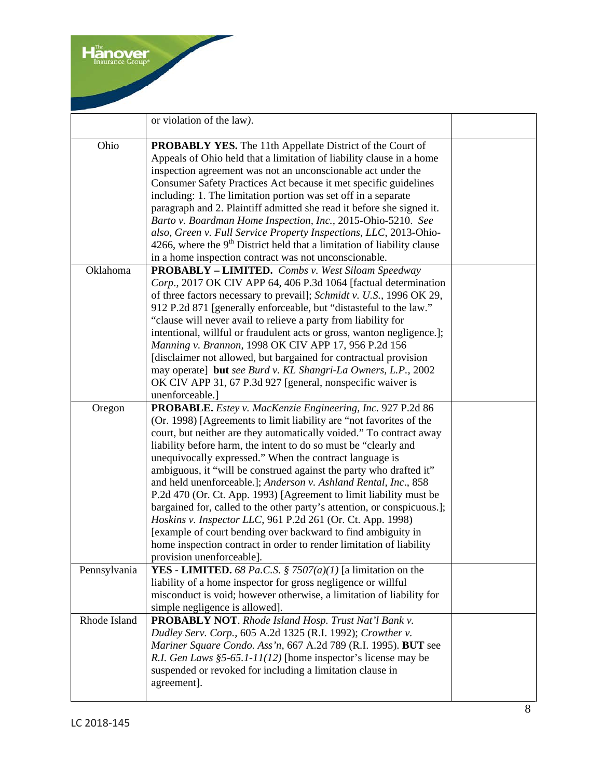|              | or violation of the law).                                                                                                                                                                                                                                                                                                                                                                                                                                                                                                                                                                                                                                                                                                                                                                                                                                          |  |
|--------------|--------------------------------------------------------------------------------------------------------------------------------------------------------------------------------------------------------------------------------------------------------------------------------------------------------------------------------------------------------------------------------------------------------------------------------------------------------------------------------------------------------------------------------------------------------------------------------------------------------------------------------------------------------------------------------------------------------------------------------------------------------------------------------------------------------------------------------------------------------------------|--|
| Ohio         | <b>PROBABLY YES.</b> The 11th Appellate District of the Court of<br>Appeals of Ohio held that a limitation of liability clause in a home<br>inspection agreement was not an unconscionable act under the<br>Consumer Safety Practices Act because it met specific guidelines<br>including: 1. The limitation portion was set off in a separate<br>paragraph and 2. Plaintiff admitted she read it before she signed it.<br>Barto v. Boardman Home Inspection, Inc., 2015-Ohio-5210. See<br>also, Green v. Full Service Property Inspections, LLC, 2013-Ohio-<br>4266, where the $9th$ District held that a limitation of liability clause<br>in a home inspection contract was not unconscionable.                                                                                                                                                                 |  |
| Oklahoma     | <b>PROBABLY - LIMITED.</b> Combs v. West Siloam Speedway<br>Corp., 2017 OK CIV APP 64, 406 P.3d 1064 [factual determination<br>of three factors necessary to prevail]; Schmidt v. U.S., 1996 OK 29,<br>912 P.2d 871 [generally enforceable, but "distasteful to the law."<br>"clause will never avail to relieve a party from liability for<br>intentional, willful or fraudulent acts or gross, wanton negligence.];<br>Manning v. Brannon, 1998 OK CIV APP 17, 956 P.2d 156<br>[disclaimer not allowed, but bargained for contractual provision<br>may operate] but see Burd v. KL Shangri-La Owners, L.P., 2002<br>OK CIV APP 31, 67 P.3d 927 [general, nonspecific waiver is<br>unenforceable.]                                                                                                                                                                |  |
| Oregon       | PROBABLE. Estey v. MacKenzie Engineering, Inc. 927 P.2d 86<br>(Or. 1998) [Agreements to limit liability are "not favorites of the<br>court, but neither are they automatically voided." To contract away<br>liability before harm, the intent to do so must be "clearly and<br>unequivocally expressed." When the contract language is<br>ambiguous, it "will be construed against the party who drafted it"<br>and held unenforceable.]; Anderson v. Ashland Rental, Inc., 858<br>P.2d 470 (Or. Ct. App. 1993) [Agreement to limit liability must be<br>bargained for, called to the other party's attention, or conspicuous.];<br>Hoskins v. Inspector LLC, 961 P.2d 261 (Or. Ct. App. 1998)<br>[example of court bending over backward to find ambiguity in<br>home inspection contract in order to render limitation of liability<br>provision unenforceable]. |  |
| Pennsylvania | <b>YES</b> - <b>LIMITED.</b> 68 Pa.C.S. § 7507(a)(1) [a limitation on the<br>liability of a home inspector for gross negligence or willful<br>misconduct is void; however otherwise, a limitation of liability for<br>simple negligence is allowed].                                                                                                                                                                                                                                                                                                                                                                                                                                                                                                                                                                                                               |  |
| Rhode Island | PROBABLY NOT. Rhode Island Hosp. Trust Nat'l Bank v.<br>Dudley Serv. Corp., 605 A.2d 1325 (R.I. 1992); Crowther v.<br>Mariner Square Condo. Ass'n, 667 A.2d 789 (R.I. 1995). BUT see<br>R.I. Gen Laws $$5-65.1-11(12)$ [home inspector's license may be<br>suspended or revoked for including a limitation clause in<br>agreement].                                                                                                                                                                                                                                                                                                                                                                                                                                                                                                                                |  |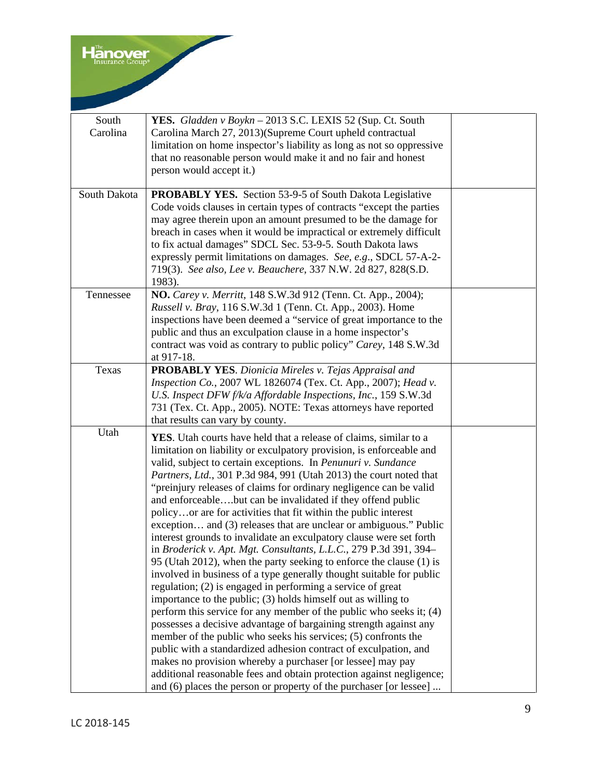| South<br>Carolina | YES. Gladden v Boykn - 2013 S.C. LEXIS 52 (Sup. Ct. South<br>Carolina March 27, 2013)(Supreme Court upheld contractual<br>limitation on home inspector's liability as long as not so oppressive<br>that no reasonable person would make it and no fair and honest<br>person would accept it.)                                                                                                                                                                                                                                                                                                                                                                                                                                                                                                                                                                                                                                                                                                                                                                                                                                                                                                                                                                                                                                                                                                                                                                                                  |  |
|-------------------|------------------------------------------------------------------------------------------------------------------------------------------------------------------------------------------------------------------------------------------------------------------------------------------------------------------------------------------------------------------------------------------------------------------------------------------------------------------------------------------------------------------------------------------------------------------------------------------------------------------------------------------------------------------------------------------------------------------------------------------------------------------------------------------------------------------------------------------------------------------------------------------------------------------------------------------------------------------------------------------------------------------------------------------------------------------------------------------------------------------------------------------------------------------------------------------------------------------------------------------------------------------------------------------------------------------------------------------------------------------------------------------------------------------------------------------------------------------------------------------------|--|
| South Dakota      | <b>PROBABLY YES.</b> Section 53-9-5 of South Dakota Legislative<br>Code voids clauses in certain types of contracts "except the parties"<br>may agree therein upon an amount presumed to be the damage for<br>breach in cases when it would be impractical or extremely difficult<br>to fix actual damages" SDCL Sec. 53-9-5. South Dakota laws<br>expressly permit limitations on damages. See, e.g., SDCL 57-A-2-<br>719(3). See also, Lee v. Beauchere, 337 N.W. 2d 827, 828(S.D.<br>1983).                                                                                                                                                                                                                                                                                                                                                                                                                                                                                                                                                                                                                                                                                                                                                                                                                                                                                                                                                                                                 |  |
| Tennessee         | NO. Carey v. Merritt, 148 S.W.3d 912 (Tenn. Ct. App., 2004);<br>Russell v. Bray, 116 S.W.3d 1 (Tenn. Ct. App., 2003). Home<br>inspections have been deemed a "service of great importance to the<br>public and thus an exculpation clause in a home inspector's<br>contract was void as contrary to public policy" Carey, 148 S.W.3d<br>at 917-18.                                                                                                                                                                                                                                                                                                                                                                                                                                                                                                                                                                                                                                                                                                                                                                                                                                                                                                                                                                                                                                                                                                                                             |  |
| Texas             | <b>PROBABLY YES.</b> Dionicia Mireles v. Tejas Appraisal and<br>Inspection Co., 2007 WL 1826074 (Tex. Ct. App., 2007); Head v.<br>U.S. Inspect DFW f/k/a Affordable Inspections, Inc., 159 S.W.3d<br>731 (Tex. Ct. App., 2005). NOTE: Texas attorneys have reported<br>that results can vary by county.                                                                                                                                                                                                                                                                                                                                                                                                                                                                                                                                                                                                                                                                                                                                                                                                                                                                                                                                                                                                                                                                                                                                                                                        |  |
| Utah              | <b>YES</b> . Utah courts have held that a release of claims, similar to a<br>limitation on liability or exculpatory provision, is enforceable and<br>valid, subject to certain exceptions. In Penunuri v. Sundance<br>Partners, Ltd., 301 P.3d 984, 991 (Utah 2013) the court noted that<br>"preinjury releases of claims for ordinary negligence can be valid<br>and enforceablebut can be invalidated if they offend public<br>policyor are for activities that fit within the public interest<br>exception and (3) releases that are unclear or ambiguous." Public<br>interest grounds to invalidate an exculpatory clause were set forth<br>in Broderick v. Apt. Mgt. Consultants, L.L.C., 279 P.3d 391, 394-<br>95 (Utah 2012), when the party seeking to enforce the clause (1) is<br>involved in business of a type generally thought suitable for public<br>regulation; (2) is engaged in performing a service of great<br>importance to the public; (3) holds himself out as willing to<br>perform this service for any member of the public who seeks it; (4)<br>possesses a decisive advantage of bargaining strength against any<br>member of the public who seeks his services; (5) confronts the<br>public with a standardized adhesion contract of exculpation, and<br>makes no provision whereby a purchaser [or lessee] may pay<br>additional reasonable fees and obtain protection against negligence;<br>and (6) places the person or property of the purchaser [or lessee] |  |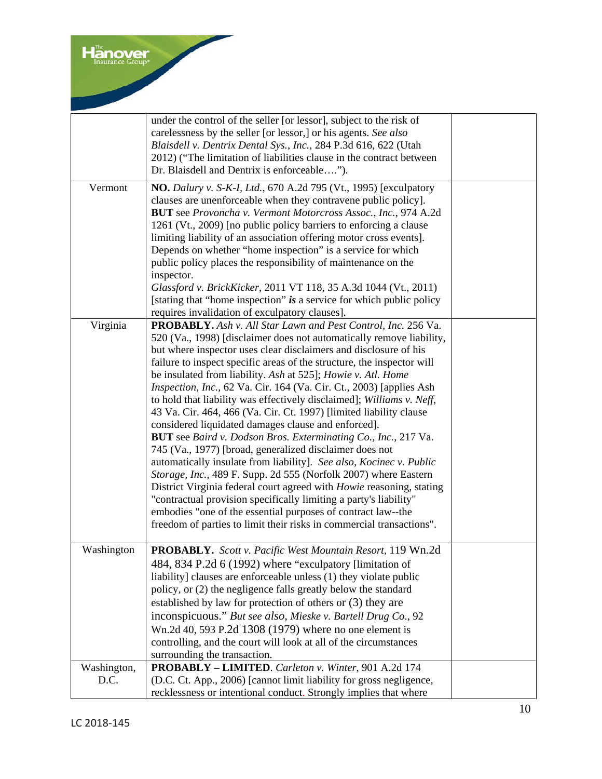|                     | under the control of the seller [or lessor], subject to the risk of<br>carelessness by the seller [or lessor,] or his agents. See also<br>Blaisdell v. Dentrix Dental Sys., Inc., 284 P.3d 616, 622 (Utah<br>2012) ("The limitation of liabilities clause in the contract between<br>Dr. Blaisdell and Dentrix is enforceable").                                                                                                                                                                                                                                                                                                                                                                                                                                                                                                                                                                                                                                                                                                                                                                                                                                                                    |  |
|---------------------|-----------------------------------------------------------------------------------------------------------------------------------------------------------------------------------------------------------------------------------------------------------------------------------------------------------------------------------------------------------------------------------------------------------------------------------------------------------------------------------------------------------------------------------------------------------------------------------------------------------------------------------------------------------------------------------------------------------------------------------------------------------------------------------------------------------------------------------------------------------------------------------------------------------------------------------------------------------------------------------------------------------------------------------------------------------------------------------------------------------------------------------------------------------------------------------------------------|--|
| Vermont             | <b>NO.</b> Dalury v. S-K-I, Ltd., 670 A.2d 795 (Vt., 1995) [exculpatory<br>clauses are unenforceable when they contravene public policy].<br>BUT see Provoncha v. Vermont Motorcross Assoc., Inc., 974 A.2d<br>1261 (Vt., 2009) [no public policy barriers to enforcing a clause<br>limiting liability of an association offering motor cross events].<br>Depends on whether "home inspection" is a service for which<br>public policy places the responsibility of maintenance on the<br>inspector.<br>Glassford v. BrickKicker, 2011 VT 118, 35 A.3d 1044 (Vt., 2011)<br>[stating that "home inspection" is a service for which public policy<br>requires invalidation of exculpatory clauses].                                                                                                                                                                                                                                                                                                                                                                                                                                                                                                   |  |
| Virginia            | PROBABLY. Ash v. All Star Lawn and Pest Control, Inc. 256 Va.<br>520 (Va., 1998) [disclaimer does not automatically remove liability,<br>but where inspector uses clear disclaimers and disclosure of his<br>failure to inspect specific areas of the structure, the inspector will<br>be insulated from liability. Ash at 525]; Howie v. Atl. Home<br>Inspection, Inc., 62 Va. Cir. 164 (Va. Cir. Ct., 2003) [applies Ash<br>to hold that liability was effectively disclaimed]; Williams v. Neff,<br>43 Va. Cir. 464, 466 (Va. Cir. Ct. 1997) [limited liability clause<br>considered liquidated damages clause and enforced].<br>BUT see Baird v. Dodson Bros. Exterminating Co., Inc., 217 Va.<br>745 (Va., 1977) [broad, generalized disclaimer does not<br>automatically insulate from liability]. See also, Kocinec v. Public<br>Storage, Inc., 489 F. Supp. 2d 555 (Norfolk 2007) where Eastern<br>District Virginia federal court agreed with <i>Howie</i> reasoning, stating<br>"contractual provision specifically limiting a party's liability"<br>embodies "one of the essential purposes of contract law--the<br>freedom of parties to limit their risks in commercial transactions". |  |
| Washington          | PROBABLY. Scott v. Pacific West Mountain Resort, 119 Wn.2d<br>484, 834 P.2d 6 (1992) where "exculpatory [limitation of<br>liability] clauses are enforceable unless (1) they violate public<br>policy, or (2) the negligence falls greatly below the standard<br>established by law for protection of others or (3) they are<br>inconspicuous." But see also, Mieske v. Bartell Drug Co., 92<br>Wn.2d 40, 593 P.2d 1308 (1979) where no one element is<br>controlling, and the court will look at all of the circumstances<br>surrounding the transaction.                                                                                                                                                                                                                                                                                                                                                                                                                                                                                                                                                                                                                                          |  |
| Washington,<br>D.C. | PROBABLY - LIMITED. Carleton v. Winter, 901 A.2d 174<br>(D.C. Ct. App., 2006) [cannot limit liability for gross negligence,<br>recklessness or intentional conduct. Strongly implies that where                                                                                                                                                                                                                                                                                                                                                                                                                                                                                                                                                                                                                                                                                                                                                                                                                                                                                                                                                                                                     |  |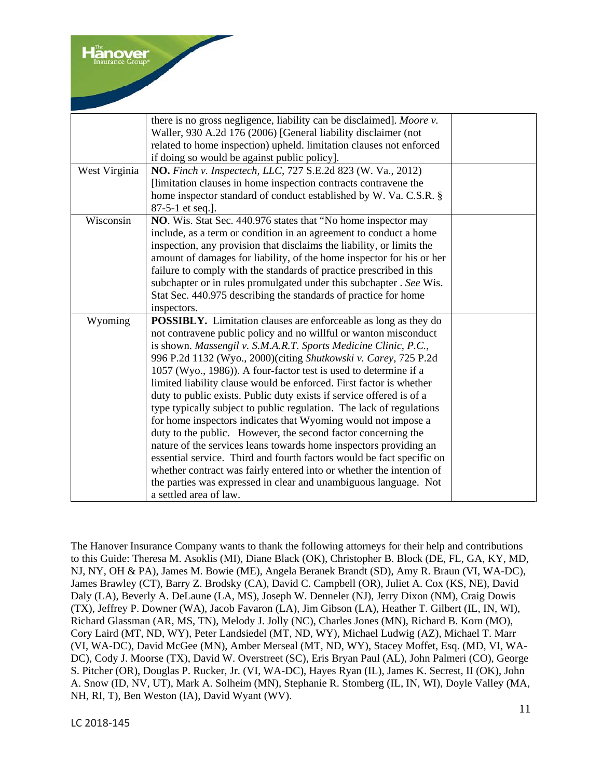anover

|               | there is no gross negligence, liability can be disclaimed]. Moore v.  |  |
|---------------|-----------------------------------------------------------------------|--|
|               | Waller, 930 A.2d 176 (2006) [General liability disclaimer (not        |  |
|               | related to home inspection) upheld. limitation clauses not enforced   |  |
|               | if doing so would be against public policy].                          |  |
| West Virginia | NO. Finch v. Inspectech, LLC, 727 S.E.2d 823 (W. Va., 2012)           |  |
|               | [limitation clauses in home inspection contracts contravene the       |  |
|               | home inspector standard of conduct established by W. Va. C.S.R. §     |  |
|               | 87-5-1 et seq.].                                                      |  |
| Wisconsin     | NO. Wis. Stat Sec. 440.976 states that "No home inspector may         |  |
|               | include, as a term or condition in an agreement to conduct a home     |  |
|               | inspection, any provision that disclaims the liability, or limits the |  |
|               | amount of damages for liability, of the home inspector for his or her |  |
|               | failure to comply with the standards of practice prescribed in this   |  |
|               | subchapter or in rules promulgated under this subchapter. See Wis.    |  |
|               | Stat Sec. 440.975 describing the standards of practice for home       |  |
|               | inspectors.                                                           |  |
| Wyoming       | POSSIBLY. Limitation clauses are enforceable as long as they do       |  |
|               | not contravene public policy and no willful or wanton misconduct      |  |
|               | is shown. Massengil v. S.M.A.R.T. Sports Medicine Clinic, P.C.,       |  |
|               | 996 P.2d 1132 (Wyo., 2000)(citing Shutkowski v. Carey, 725 P.2d       |  |
|               | 1057 (Wyo., 1986)). A four-factor test is used to determine if a      |  |
|               | limited liability clause would be enforced. First factor is whether   |  |
|               | duty to public exists. Public duty exists if service offered is of a  |  |
|               | type typically subject to public regulation. The lack of regulations  |  |
|               | for home inspectors indicates that Wyoming would not impose a         |  |
|               | duty to the public. However, the second factor concerning the         |  |
|               | nature of the services leans towards home inspectors providing an     |  |
|               | essential service. Third and fourth factors would be fact specific on |  |
|               | whether contract was fairly entered into or whether the intention of  |  |
|               | the parties was expressed in clear and unambiguous language. Not      |  |
|               | a settled area of law.                                                |  |

The Hanover Insurance Company wants to thank the following attorneys for their help and contributions to this Guide: Theresa M. Asoklis (MI), Diane Black (OK), Christopher B. Block (DE, FL, GA, KY, MD, NJ, NY, OH & PA), James M. Bowie (ME), Angela Beranek Brandt (SD), Amy R. Braun (VI, WA-DC), James Brawley (CT), Barry Z. Brodsky (CA), David C. Campbell (OR), Juliet A. Cox (KS, NE), David Daly (LA), Beverly A. DeLaune (LA, MS), Joseph W. Denneler (NJ), Jerry Dixon (NM), Craig Dowis (TX), Jeffrey P. Downer (WA), Jacob Favaron (LA), Jim Gibson (LA), Heather T. Gilbert (IL, IN, WI), Richard Glassman (AR, MS, TN), Melody J. Jolly (NC), Charles Jones (MN), Richard B. Korn (MO), Cory Laird (MT, ND, WY), Peter Landsiedel (MT, ND, WY), Michael Ludwig (AZ), Michael T. Marr (VI, WA-DC), David McGee (MN), Amber Merseal (MT, ND, WY), Stacey Moffet, Esq. (MD, VI, WA-DC), Cody J. Moorse (TX), David W. Overstreet (SC), Eris Bryan Paul (AL), John Palmeri (CO), George S. Pitcher (OR), Douglas P. Rucker, Jr. (VI, WA-DC), Hayes Ryan (IL), James K. Secrest, II (OK), John A. Snow (ID, NV, UT), Mark A. Solheim (MN), Stephanie R. Stomberg (IL, IN, WI), Doyle Valley (MA, NH, RI, T), Ben Weston (IA), David Wyant (WV).